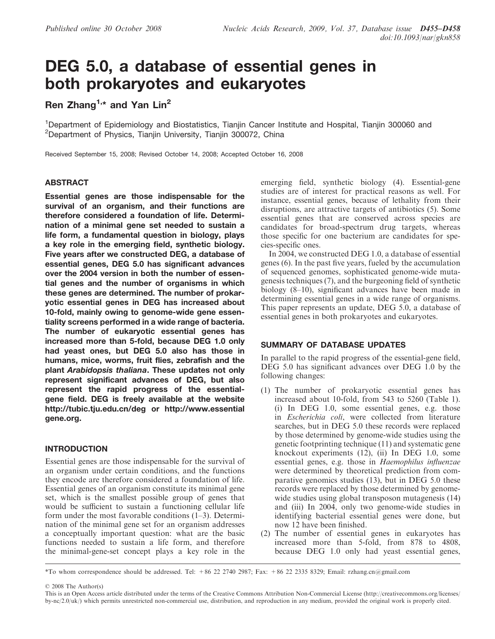# DEG 5.0, a database of essential genes in both prokaryotes and eukaryotes

## Ren Zhang<sup>1,\*</sup> and Yan Lin<sup>2</sup>

<sup>1</sup>Department of Epidemiology and Biostatistics, Tianjin Cancer Institute and Hospital, Tianjin 300060 and 2 Department of Physics, Tianjin University, Tianjin 300072, China

Received September 15, 2008; Revised October 14, 2008; Accepted October 16, 2008

## ABSTRACT

Essential genes are those indispensable for the survival of an organism, and their functions are therefore considered a foundation of life. Determination of a minimal gene set needed to sustain a life form, a fundamental question in biology, plays a key role in the emerging field, synthetic biology. Five years after we constructed DEG, a database of essential genes, DEG 5.0 has significant advances over the 2004 version in both the number of essential genes and the number of organisms in which these genes are determined. The number of prokaryotic essential genes in DEG has increased about 10-fold, mainly owing to genome-wide gene essentiality screens performed in a wide range of bacteria. The number of eukaryotic essential genes has increased more than 5-fold, because DEG 1.0 only had yeast ones, but DEG 5.0 also has those in humans, mice, worms, fruit flies, zebrafish and the plant Arabidopsis thaliana. These updates not only represent significant advances of DEG, but also represent the rapid progress of the essentialgene field. DEG is freely available at the website http://tubic.tju.edu.cn/deg or http://www.essential gene.org.

## INTRODUCTION

Essential genes are those indispensable for the survival of an organism under certain conditions, and the functions they encode are therefore considered a foundation of life. Essential genes of an organism constitute its minimal gene set, which is the smallest possible group of genes that would be sufficient to sustain a functioning cellular life form under the most favorable conditions (1–3). Determination of the minimal gene set for an organism addresses a conceptually important question: what are the basic functions needed to sustain a life form, and therefore the minimal-gene-set concept plays a key role in the

emerging field, synthetic biology (4). Essential-gene studies are of interest for practical reasons as well. For instance, essential genes, because of lethality from their disruptions, are attractive targets of antibiotics (5). Some essential genes that are conserved across species are candidates for broad-spectrum drug targets, whereas those specific for one bacterium are candidates for species-specific ones.

In 2004, we constructed DEG 1.0, a database of essential genes (6). In the past five years, fueled by the accumulation of sequenced genomes, sophisticated genome-wide mutagenesis techniques (7), and the burgeoning field of synthetic biology (8–10), significant advances have been made in determining essential genes in a wide range of organisms. This paper represents an update, DEG 5.0, a database of essential genes in both prokaryotes and eukaryotes.

## SUMMARY OF DATABASE UPDATES

In parallel to the rapid progress of the essential-gene field, DEG 5.0 has significant advances over DEG 1.0 by the following changes:

- (1) The number of prokaryotic essential genes has increased about 10-fold, from 543 to 5260 (Table 1). (i) In DEG 1.0, some essential genes, e.g. those in Escherichia coli, were collected from literature searches, but in DEG 5.0 these records were replaced by those determined by genome-wide studies using the genetic footprinting technique (11) and systematic gene knockout experiments (12), (ii) In DEG 1.0, some essential genes, e.g. those in Haemophilus influenzae were determined by theoretical prediction from comparative genomics studies (13), but in DEG 5.0 these records were replaced by those determined by genomewide studies using global transposon mutagenesis (14) and (iii) In 2004, only two genome-wide studies in identifying bacterial essential genes were done, but now 12 have been finished.
- (2) The number of essential genes in eukaryotes has increased more than 5-fold, from 878 to 4808, because DEG 1.0 only had yeast essential genes,

2008 The Author(s)

<sup>\*</sup>To whom correspondence should be addressed. Tel: +86 22 2740 2987; Fax: +86 22 2335 8329; Email: rzhang.cn@gmail.com

This is an Open Access article distributed under the terms of the Creative Commons Attribution Non-Commercial License (http://creativecommons.org/licenses/  $b$ y-nc/2.0/uk/) which permits unrestricted non-commercial use, distribution, and reproduction in any medium, provided the original work is properly cited.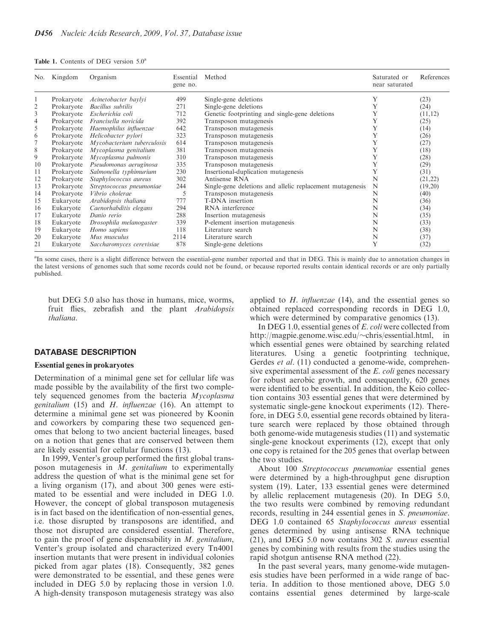| <b>Table 1.</b> Contents of DEG version $5.0^a$ |  |
|-------------------------------------------------|--|
|-------------------------------------------------|--|

| No.            | Kingdom    | Organism                   | Essential<br>gene no. | Method                                                    | Saturated or<br>near saturated | References |
|----------------|------------|----------------------------|-----------------------|-----------------------------------------------------------|--------------------------------|------------|
|                | Prokaryote | Acinetobacter baylyi       | 499                   | Single-gene deletions                                     |                                | (23)       |
|                | Prokaryote | Bacillus subtilis          | 271                   | Single-gene deletions                                     |                                | (24)       |
| 3              | Prokaryote | Escherichia coli           | 712                   | Genetic footprinting and single-gene deletions            |                                | (11,12)    |
| $\overline{4}$ | Prokaryote | Francisella novicida       | 392                   | Transposon mutagenesis                                    |                                | (25)       |
| 5              | Prokaryote | Haemophilus influenzae     | 642                   | Transposon mutagenesis                                    |                                | (14)       |
| 6              | Prokaryote | Helicobacter pylori        | 323                   | Transposon mutagenesis                                    |                                | (26)       |
|                | Prokaryote | Mycobacterium tuberculosis | 614                   | Transposon mutagenesis                                    |                                | (27)       |
| 8              | Prokaryote | Mycoplasma genitalium      | 381                   | Transposon mutagenesis                                    |                                | (18)       |
| 9              | Prokaryote | Mycoplasma pulmonis        | 310                   | Transposon mutagenesis                                    |                                | (28)       |
| 10             | Prokaryote | Pseudomonas aeruginosa     | 335                   | Transposon mutagenesis                                    |                                | (29)       |
| 11             | Prokaryote | Salmonella typhimurium     | 230                   | Insertional-duplication mutagenesis                       |                                | (31)       |
| 12             | Prokaryote | Staphylococcus aureus      | 302                   | Antisense RNA                                             | N                              | (21,22)    |
| 13             | Prokaryote | Streptococcus pneumoniae   | 244                   | Single-gene deletions and allelic replacement mutagenesis | N                              | (19,20)    |
| 14             | Prokaryote | Vibrio cholerae            | 5                     | Transposon mutagenesis                                    | N                              | (40)       |
| 15             | Eukaryote  | Arabidopsis thaliana       | 777                   | T-DNA insertion                                           | N                              | (36)       |
| 16             | Eukaryote  | Caenorhabditis elegans     | 294                   | RNA interference                                          | N                              | (34)       |
| 17             | Eukaryote  | Danio rerio                | 288                   | Insertion mutagenesis                                     | N                              | (35)       |
| 18             | Eukaryote  | Drosophila melanogaster    | 339                   | P-element insertion mutagenesis                           | N                              | (33)       |
| 19             | Eukaryote  | Homo sapiens               | 118                   | Literature search                                         | N                              | (38)       |
| 20             | Eukaryote  | Mus musculus               | 2114                  | Literature search                                         | N                              | (37)       |
| 21             | Eukaryote  | Saccharomyces cerevisiae   | 878                   | Single-gene deletions                                     | Y                              | (32)       |

<sup>a</sup>In some cases, there is a slight difference between the essential-gene number reported and that in DEG. This is mainly due to annotation changes in the latest versions of genomes such that some records could not be found, or because reported results contain identical records or are only partially published.

but DEG 5.0 also has those in humans, mice, worms, fruit flies, zebrafish and the plant Arabidopsis thaliana.

#### DATABASE DESCRIPTION

#### Essential genes in prokaryotes

Determination of a minimal gene set for cellular life was made possible by the availability of the first two completely sequenced genomes from the bacteria Mycoplasma genitalium  $(15)$  and H. influenzae  $(16)$ . An attempt to determine a minimal gene set was pioneered by Koonin and coworkers by comparing these two sequenced genomes that belong to two ancient bacterial lineages, based on a notion that genes that are conserved between them are likely essential for cellular functions (13).

In 1999, Venter's group performed the first global transposon mutagenesis in  $M$ . *genitalium* to experimentally address the question of what is the minimal gene set for a living organism (17), and about 300 genes were estimated to be essential and were included in DEG 1.0. However, the concept of global transposon mutagenesis is in fact based on the identification of non-essential genes, i.e. those disrupted by transposons are identified, and those not disrupted are considered essential. Therefore, to gain the proof of gene dispensability in M. genitalium, Venter's group isolated and characterized every Tn4001 insertion mutants that were present in individual colonies picked from agar plates (18). Consequently, 382 genes were demonstrated to be essential, and these genes were included in DEG 5.0 by replacing those in version 1.0. A high-density transposon mutagenesis strategy was also

applied to  $H$ . *influenzae* (14), and the essential genes so obtained replaced corresponding records in DEG 1.0, which were determined by comparative genomics  $(13)$ .

In DEG 1.0, essential genes of E. coli were collected from http://magpie.genome.wisc.edu/~chris/essential.html, in which essential genes were obtained by searching related literatures. Using a genetic footprinting technique, Gerdes et al. (11) conducted a genome-wide, comprehensive experimental assessment of the E. coli genes necessary for robust aerobic growth, and consequently, 620 genes were identified to be essential. In addition, the Keio collection contains 303 essential genes that were determined by systematic single-gene knockout experiments (12). Therefore, in DEG 5.0, essential gene records obtained by literature search were replaced by those obtained through both genome-wide mutagenesis studies (11) and systematic single-gene knockout experiments (12), except that only one copy is retained for the 205 genes that overlap between the two studies.

About 100 Streptococcus pneumoniae essential genes were determined by a high-throughput gene disruption system (19). Later, 133 essential genes were determined by allelic replacement mutagenesis (20). In DEG 5.0, the two results were combined by removing redundant records, resulting in 244 essential genes in S. pneumoniae. DEG 1.0 contained 65 Staphylococcus aureus essential genes determined by using antisense RNA technique (21), and DEG 5.0 now contains 302 S. aureus essential genes by combining with results from the studies using the rapid shotgun antisense RNA method (22).

In the past several years, many genome-wide mutagenesis studies have been performed in a wide range of bacteria. In addition to those mentioned above, DEG 5.0 contains essential genes determined by large-scale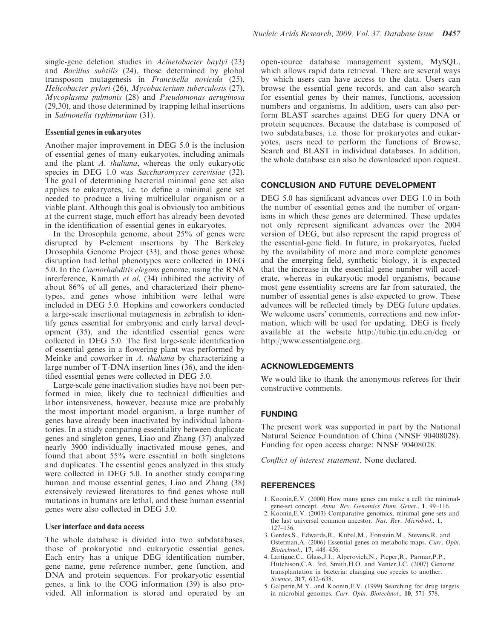single-gene deletion studies in Acinetobacter baylyi (23) and Bacillus subtilis (24), those determined by global transposon mutagenesis in Francisella novicida (25), Helicobacter pylori (26), Mycobacterium tuberculosis (27), Mycoplasma pulmonis (28) and Pseudomonas aeruginosa (29,30), and those determined by trapping lethal insertions in Salmonella typhimurium (31).

#### Essential genes in eukaryotes

Another major improvement in DEG 5.0 is the inclusion of essential genes of many eukaryotes, including animals and the plant A. thaliana, whereas the only eukaryotic species in DEG 1.0 was Saccharomyces cerevisiae (32). The goal of determining bacterial minimal gene set also applies to eukaryotes, i.e. to define a minimal gene set needed to produce a living multicellular organism or a viable plant. Although this goal is obviously too ambitious at the current stage, much effort has already been devoted in the identification of essential genes in eukaryotes.

In the Drosophila genome, about 25% of genes were disrupted by P-element insertions by The Berkeley Drosophila Genome Project (33), and those genes whose disruption had lethal phenotypes were collected in DEG 5.0. In the Caenorhabditis elegans genome, using the RNA interference, Kamath et al. (34) inhibited the activity of about 86% of all genes, and characterized their phenotypes, and genes whose inhibition were lethal were included in DEG 5.0. Hopkins and coworkers conducted a large-scale insertional mutagenesis in zebrafish to identify genes essential for embryonic and early larval development (35), and the identified essential genes were collected in DEG 5.0. The first large-scale identification of essential genes in a flowering plant was performed by Meinke and coworker in A. thaliana by characterizing a large number of T-DNA insertion lines (36), and the identified essential genes were collected in DEG 5.0.

Large-scale gene inactivation studies have not been performed in mice, likely due to technical difficulties and labor intensiveness, however, because mice are probably the most important model organism, a large number of genes have already been inactivated by individual laboratories. In a study comparing essentiality between duplicate genes and singleton genes, Liao and Zhang (37) analyzed nearly 3900 individually inactivated mouse genes, and found that about 55% were essential in both singletons and duplicates. The essential genes analyzed in this study were collected in DEG 5.0. In another study comparing human and mouse essential genes, Liao and Zhang (38) extensively reviewed literatures to find genes whose null mutations in humans are lethal, and these human essential genes were also collected in DEG 5.0.

#### User interface and data access

The whole database is divided into two subdatabases, those of prokaryotic and eukaryotic essential genes. Each entry has a unique DEG identification number, gene name, gene reference number, gene function, and DNA and protein sequences. For prokaryotic essential genes, a link to the COG information (39) is also provided. All information is stored and operated by an open-source database management system, MySQL, which allows rapid data retrieval. There are several ways by which users can have access to the data. Users can browse the essential gene records, and can also search for essential genes by their names, functions, accession numbers and organisms. In addition, users can also perform BLAST searches against DEG for query DNA or protein sequences. Because the database is composed of two subdatabases, i.e. those for prokaryotes and eukaryotes, users need to perform the functions of Browse, Search and BLAST in individual databases. In addition, the whole database can also be downloaded upon request.

## CONCLUSION AND FUTURE DEVELOPMENT

DEG 5.0 has significant advances over DEG 1.0 in both the number of essential genes and the number of organisms in which these genes are determined. These updates not only represent significant advances over the 2004 version of DEG, but also represent the rapid progress of the essential-gene field. In future, in prokaryotes, fueled by the availability of more and more complete genomes and the emerging field, synthetic biology, it is expected that the increase in the essential gene number will accelerate, whereas in eukaryotic model organisms, because most gene essentiality screens are far from saturated, the number of essential genes is also expected to grow. These advances will be reflected timely by DEG future updates. We welcome users' comments, corrections and new information, which will be used for updating. DEG is freely available at the website http://tubic.tju.edu.cn/deg or http://www.essentialgene.org.

## ACKNOWLEDGEMENTS

We would like to thank the anonymous referees for their constructive comments.

#### FUNDING

The present work was supported in part by the National Natural Science Foundation of China (NNSF 90408028). Funding for open access charge: NNSF 90408028.

Conflict of interest statement. None declared.

#### REFERENCES

- 1. Koonin,E.V. (2000) How many genes can make a cell: the minimalgene-set concept. Annu. Rev. Genomics Hum. Genet., 1, 99–116.
- 2. Koonin,E.V. (2003) Comparative genomics, minimal gene-sets and the last universal common ancestor. Nat. Rev. Microbiol., 1, 127–136.
- 3. Gerdes,S., Edwards,R., Kubal,M., Fonstein,M., Stevens,R. and Osterman,A. (2006) Essential genes on metabolic maps. Curr. Opin. Biotechnol., 17, 448–456.
- 4. Lartigue,C., Glass,J.I., Alperovich,N., Pieper,R., Parmar,P.P., Hutchison,C.A. 3rd, Smith,H.O. and Venter,J.C. (2007) Genome transplantation in bacteria: changing one species to another. Science, 317, 632–638.
- 5. Galperin,M.Y. and Koonin,E.V. (1999) Searching for drug targets in microbial genomes. Curr. Opin. Biotechnol., 10, 571–578.